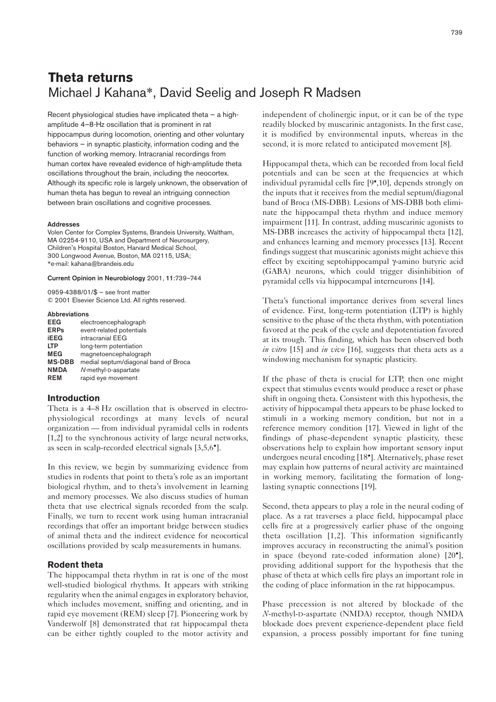# **Theta returns** Michael J Kahana\*, David Seelig and Joseph R Madsen

Recent physiological studies have implicated theta — a highamplitude 4–8-Hz oscillation that is prominent in rat hippocampus during locomotion, orienting and other voluntary behaviors — in synaptic plasticity, information coding and the function of working memory. Intracranial recordings from human cortex have revealed evidence of high-amplitude theta oscillations throughout the brain, including the neocortex. Although its specific role is largely unknown, the observation of human theta has begun to reveal an intriguing connection between brain oscillations and cognitive processes.

### **Addresses**

Volen Center for Complex Systems, Brandeis University, Waltham, MA 02254-9110, USA and Department of Neurosurgery, Children's Hospital Boston, Harvard Medical School, 300 Longwood Avenue, Boston, MA 02115, USA; \*e-mail: kahana@brandeis.edu

### **Current Opinion in Neurobiology** 2001, **11**:739–744

0959-4388/01/\$ — see front matter © 2001 Elsevier Science Ltd. All rights reserved.

| <b>Abbreviations</b> |                                      |
|----------------------|--------------------------------------|
| <b>EEG</b>           | electroencephalograph                |
| <b>ERPs</b>          | event-related potentials             |
| <b>iEEG</b>          | intracranial EEG                     |
| <b>LTP</b>           | long-term potentiation               |
| MEG                  | magnetoencephalograph                |
| <b>MS-DBB</b>        | medial septum/diagonal band of Broca |
| <b>NMDA</b>          | N-methyl-n-aspartate                 |

**NMDA** *N*-methyl-D-aspartate rapid eye movement

### **Introduction**

Theta is a 4–8 Hz oscillation that is observed in electrophysiological recordings at many levels of neural organization — from individual pyramidal cells in rodents [1,2] to the synchronous activity of large neural networks, as seen in scalp-recorded electrical signals [3,5,6•].

In this review, we begin by summarizing evidence from studies in rodents that point to theta's role as an important biological rhythm, and to theta's involvement in learning and memory processes. We also discuss studies of human theta that use electrical signals recorded from the scalp. Finally, we turn to recent work using human intracranial recordings that offer an important bridge between studies of animal theta and the indirect evidence for neocortical oscillations provided by scalp measurements in humans.

# **Rodent theta**

The hippocampal theta rhythm in rat is one of the most well-studied biological rhythms. It appears with striking regularity when the animal engages in exploratory behavior, which includes movement, sniffing and orienting, and in rapid eye movement (REM) sleep [7]. Pioneering work by Vanderwolf [8] demonstrated that rat hippocampal theta can be either tightly coupled to the motor activity and independent of cholinergic input, or it can be of the type readily blocked by muscarinic antagonists. In the first case, it is modified by environmental inputs, whereas in the second, it is more related to anticipated movement [8].

Hippocampal theta, which can be recorded from local field potentials and can be seen at the frequencies at which individual pyramidal cells fire [9•,10], depends strongly on the inputs that it receives from the medial septum/diagonal band of Broca (MS-DBB). Lesions of MS-DBB both eliminate the hippocampal theta rhythm and induce memory impairment [11]. In contrast, adding muscarinic agonists to MS-DBB increases the activity of hippocampal theta [12], and enhances learning and memory processes [13]. Recent findings suggest that muscarinic agonists might achieve this effect by exciting septohippocampal γ-amino butyric acid (GABA) neurons, which could trigger disinhibition of pyramidal cells via hippocampal interneurons [14].

Theta's functional importance derives from several lines of evidence. First, long-term potentiation (LTP) is highly sensitive to the phase of the theta rhythm, with potentiation favored at the peak of the cycle and depotentiation favored at its trough. This finding, which has been observed both *in vitro* [15] and *in vivo* [16], suggests that theta acts as a windowing mechanism for synaptic plasticity.

If the phase of theta is crucial for LTP, then one might expect that stimulus events would produce a reset or phase shift in ongoing theta. Consistent with this hypothesis, the activity of hippocampal theta appears to be phase locked to stimuli in a working memory condition, but not in a reference memory condition [17]. Viewed in light of the findings of phase-dependent synaptic plasticity, these observations help to explain how important sensory input undergoes neural encoding [18•]. Alternatively, phase reset may explain how patterns of neural activity are maintained in working memory, facilitating the formation of longlasting synaptic connections [19].

Second, theta appears to play a role in the neural coding of place. As a rat traverses a place field, hippocampal place cells fire at a progressively earlier phase of the ongoing theta oscillation [1,2]. This information significantly improves accuracy in reconstructing the animal's position in space (beyond rate-coded information alone) [20•], providing additional support for the hypothesis that the phase of theta at which cells fire plays an important role in the coding of place information in the rat hippocampus.

Phase precession is not altered by blockade of the *N*-methyl-D-aspartate (NMDA) receptor, though NMDA blockade does prevent experience-dependent place field expansion, a process possibly important for fine tuning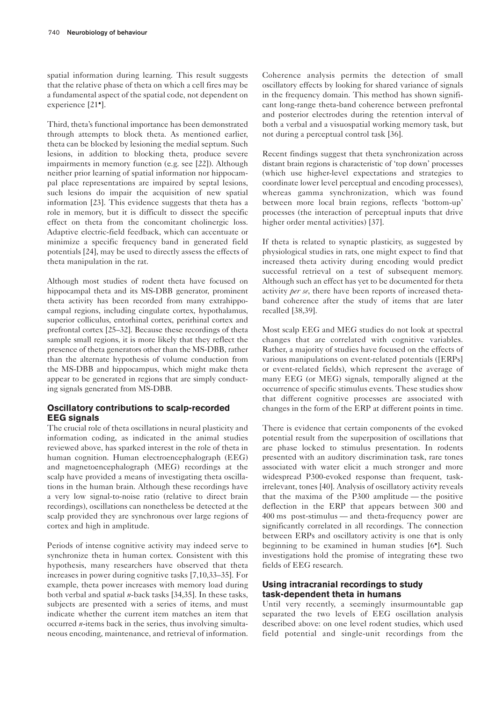spatial information during learning. This result suggests that the relative phase of theta on which a cell fires may be a fundamental aspect of the spatial code, not dependent on experience [21•].

Third, theta's functional importance has been demonstrated through attempts to block theta. As mentioned earlier, theta can be blocked by lesioning the medial septum. Such lesions, in addition to blocking theta, produce severe impairments in memory function (e.g. see [22]). Although neither prior learning of spatial information nor hippocampal place representations are impaired by septal lesions, such lesions do impair the acquisition of new spatial information [23]. This evidence suggests that theta has a role in memory, but it is difficult to dissect the specific effect on theta from the concomitant cholinergic loss. Adaptive electric-field feedback, which can accentuate or minimize a specific frequency band in generated field potentials [24], may be used to directly assess the effects of theta manipulation in the rat.

Although most studies of rodent theta have focused on hippocampal theta and its MS-DBB generator, prominent theta activity has been recorded from many extrahippocampal regions, including cingulate cortex, hypothalamus, superior colliculus, entorhinal cortex, perirhinal cortex and prefrontal cortex [25–32]. Because these recordings of theta sample small regions, it is more likely that they reflect the presence of theta generators other than the MS-DBB, rather than the alternate hypothesis of volume conduction from the MS-DBB and hippocampus, which might make theta appear to be generated in regions that are simply conducting signals generated from MS-DBB.

# **Oscillatory contributions to scalp-recorded EEG signals**

The crucial role of theta oscillations in neural plasticity and information coding, as indicated in the animal studies reviewed above, has sparked interest in the role of theta in human cognition. Human electroencephalograph (EEG) and magnetoencephalograph (MEG) recordings at the scalp have provided a means of investigating theta oscillations in the human brain. Although these recordings have a very low signal-to-noise ratio (relative to direct brain recordings), oscillations can nonetheless be detected at the scalp provided they are synchronous over large regions of cortex and high in amplitude.

Periods of intense cognitive activity may indeed serve to synchronize theta in human cortex. Consistent with this hypothesis, many researchers have observed that theta increases in power during cognitive tasks [7,10,33–35]. For example, theta power increases with memory load during both verbal and spatial *n*-back tasks [34,35]. In these tasks, subjects are presented with a series of items, and must indicate whether the current item matches an item that occurred *n*-items back in the series, thus involving simultaneous encoding, maintenance, and retrieval of information.

Coherence analysis permits the detection of small oscillatory effects by looking for shared variance of signals in the frequency domain. This method has shown significant long-range theta-band coherence between prefrontal and posterior electrodes during the retention interval of both a verbal and a visuospatial working memory task, but not during a perceptual control task [36].

Recent findings suggest that theta synchronization across distant brain regions is characteristic of 'top down' processes (which use higher-level expectations and strategies to coordinate lower level perceptual and encoding processes), whereas gamma synchronization, which was found between more local brain regions, reflects 'bottom-up' processes (the interaction of perceptual inputs that drive higher order mental activities) [37].

If theta is related to synaptic plasticity, as suggested by physiological studies in rats, one might expect to find that increased theta activity during encoding would predict successful retrieval on a test of subsequent memory. Although such an effect has yet to be documented for theta activity *per se*, there have been reports of increased thetaband coherence after the study of items that are later recalled [38,39].

Most scalp EEG and MEG studies do not look at spectral changes that are correlated with cognitive variables. Rather, a majority of studies have focused on the effects of various manipulations on event-related potentials ([ERPs] or event-related fields), which represent the average of many EEG (or MEG) signals, temporally aligned at the occurrence of specific stimulus events. These studies show that different cognitive processes are associated with changes in the form of the ERP at different points in time.

There is evidence that certain components of the evoked potential result from the superposition of oscillations that are phase locked to stimulus presentation. In rodents presented with an auditory discrimination task, rare tones associated with water elicit a much stronger and more widespread P300-evoked response than frequent, taskirrelevant, tones [40]. Analysis of oscillatory activity reveals that the maxima of the P300 amplitude — the positive deflection in the ERP that appears between 300 and 400 ms post-stimulus — and theta-frequency power are significantly correlated in all recordings. The connection between ERPs and oscillatory activity is one that is only beginning to be examined in human studies [6•]. Such investigations hold the promise of integrating these two fields of EEG research.

# **Using intracranial recordings to study task-dependent theta in humans**

Until very recently, a seemingly insurmountable gap separated the two levels of EEG oscillation analysis described above: on one level rodent studies, which used field potential and single-unit recordings from the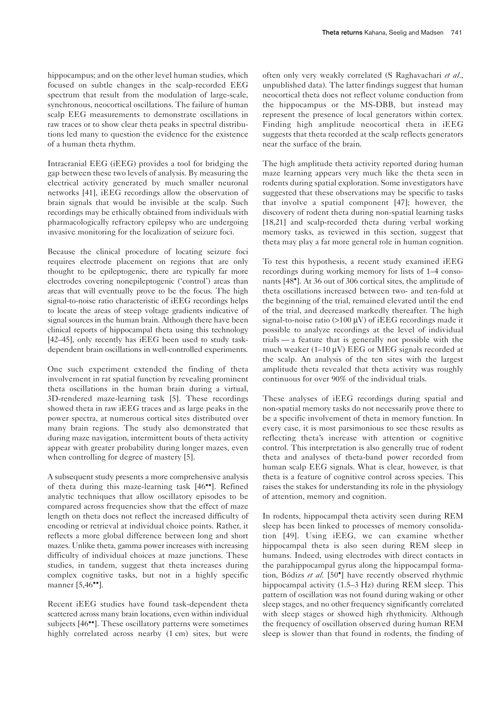hippocampus; and on the other level human studies, which focused on subtle changes in the scalp-recorded EEG spectrum that result from the modulation of large-scale, synchronous, neocortical oscillations. The failure of human scalp EEG measurements to demonstrate oscillations in raw traces or to show clear theta peaks in spectral distributions led many to question the evidence for the existence of a human theta rhythm.

Intracranial EEG (iEEG) provides a tool for bridging the gap between these two levels of analysis. By measuring the electrical activity generated by much smaller neuronal networks [41], iEEG recordings allow the observation of brain signals that would be invisible at the scalp. Such recordings may be ethically obtained from individuals with pharmacologically refractory epilepsy who are undergoing invasive monitoring for the localization of seizure foci.

Because the clinical procedure of locating seizure foci requires electrode placement on regions that are only thought to be epileptogenic, there are typically far more electrodes covering nonepileptogenic ('control') areas than areas that will eventually prove to be the focus. The high signal-to-noise ratio characteristic of iEEG recordings helps to locate the areas of steep voltage gradients indicative of signal sources in the human brain. Although there have been clinical reports of hippocampal theta using this technology [42–45], only recently has iEEG been used to study taskdependent brain oscillations in well-controlled experiments.

One such experiment extended the finding of theta involvement in rat spatial function by revealing prominent theta oscillations in the human brain during a virtual, 3D-rendered maze-learning task [5]. These recordings showed theta in raw iEEG traces and as large peaks in the power spectra, at numerous cortical sites distributed over many brain regions. The study also demonstrated that during maze navigation, intermittent bouts of theta activity appear with greater probability during longer mazes, even when controlling for degree of mastery [5].

A subsequent study presents a more comprehensive analysis of theta during this maze-learning task [46••]. Refined analytic techniques that allow oscillatory episodes to be compared across frequencies show that the effect of maze length on theta does not reflect the increased difficulty of encoding or retrieval at individual choice points. Rather, it reflects a more global difference between long and short mazes. Unlike theta, gamma power increases with increasing difficulty of individual choices at maze junctions. These studies, in tandem, suggest that theta increases during complex cognitive tasks, but not in a highly specific manner [5,46<sup>••</sup>].

Recent iEEG studies have found task-dependent theta scattered across many brain locations, even within individual subjects [46••]. These oscillatory patterns were sometimes highly correlated across nearby (1 cm) sites, but were often only very weakly correlated (S Raghavachari *et al*., unpublished data). The latter findings suggest that human neocortical theta does not reflect volume conduction from the hippocampus or the MS-DBB, but instead may represent the presence of local generators within cortex. Finding high amplitude neocortical theta in iEEG suggests that theta recorded at the scalp reflects generators near the surface of the brain.

The high amplitude theta activity reported during human maze learning appears very much like the theta seen in rodents during spatial exploration. Some investigators have suggested that these observations may be specific to tasks that involve a spatial component [47]; however, the discovery of rodent theta during non-spatial learning tasks [18,21] and scalp-recorded theta during verbal working memory tasks, as reviewed in this section, suggest that theta may play a far more general role in human cognition.

To test this hypothesis, a recent study examined iEEG recordings during working memory for lists of 1–4 consonants [48•]. At 36 out of 306 cortical sites, the amplitude of theta oscillations increased between two- and ten-fold at the beginning of the trial, remained elevated until the end of the trial, and decreased markedly thereafter. The high signal-to-noise ratio ( $>100 \mu$ V) of iEEG recordings made it possible to analyze recordings at the level of individual trials — a feature that is generally not possible with the much weaker ( $1-10 \mu V$ ) EEG or MEG signals recorded at the scalp. An analysis of the ten sites with the largest amplitude theta revealed that theta activity was roughly continuous for over 90% of the individual trials.

These analyses of iEEG recordings during spatial and non-spatial memory tasks do not necessarily prove there to be a specific involvement of theta in memory function. In every case, it is most parsimonious to see these results as reflecting theta's increase with attention or cognitive control. This interpretation is also generally true of rodent theta and analyses of theta-band power recorded from human scalp EEG signals. What is clear, however, is that theta is a feature of cognitive control across species. This raises the stakes for understanding its role in the physiology of attention, memory and cognition.

In rodents, hippocampal theta activity seen during REM sleep has been linked to processes of memory consolidation [49]. Using iEEG, we can examine whether hippocampal theta is also seen during REM sleep in humans. Indeed, using electrodes with direct contacts in the parahippocampal gyrus along the hippocampal formation, Bódizs *et al.* [50•] have recently observed rhythmic hippocampal activity (1.5–3 Hz) during REM sleep. This pattern of oscillation was not found during waking or other sleep stages, and no other frequency significantly correlated with sleep stages or showed high rhythmicity. Although the frequency of oscillation observed during human REM sleep is slower than that found in rodents, the finding of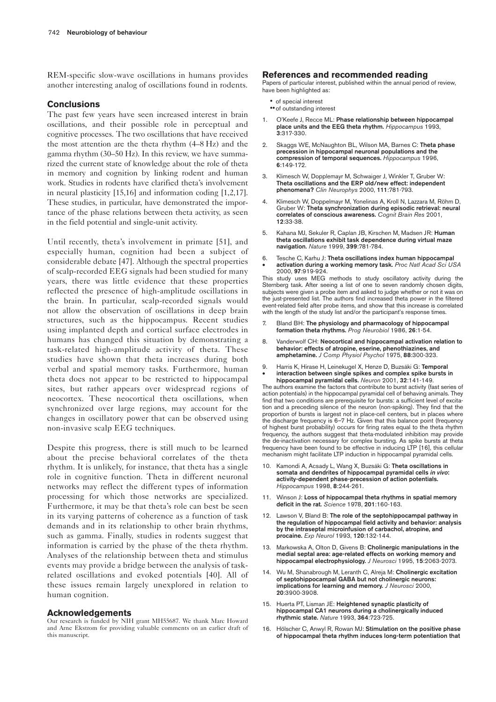REM-specific slow-wave oscillations in humans provides another interesting analog of oscillations found in rodents.

### **Conclusions**

The past few years have seen increased interest in brain oscillations, and their possible role in perceptual and cognitive processes. The two oscillations that have received the most attention are the theta rhythm (4–8 Hz) and the gamma rhythm (30–50 Hz). In this review, we have summarized the current state of knowledge about the role of theta in memory and cognition by linking rodent and human work. Studies in rodents have clarified theta's involvement in neural plasticity [15,16] and information coding [1,2,17]. These studies, in particular, have demonstrated the importance of the phase relations between theta activity, as seen in the field potential and single-unit activity.

Until recently, theta's involvement in primate [51], and especially human, cognition had been a subject of considerable debate [47]. Although the spectral properties of scalp-recorded EEG signals had been studied for many years, there was little evidence that these properties reflected the presence of high-amplitude oscillations in the brain. In particular, scalp-recorded signals would not allow the observation of oscillations in deep brain structures, such as the hippocampus. Recent studies using implanted depth and cortical surface electrodes in humans has changed this situation by demonstrating a task-related high-amplitude activity of theta. These studies have shown that theta increases during both verbal and spatial memory tasks. Furthermore, human theta does not appear to be restricted to hippocampal sites, but rather appears over widespread regions of neocortex. These neocortical theta oscillations, when synchronized over large regions, may account for the changes in oscillatory power that can be observed using non-invasive scalp EEG techniques.

Despite this progress, there is still much to be learned about the precise behavioral correlates of the theta rhythm. It is unlikely, for instance, that theta has a single role in cognitive function. Theta in different neuronal networks may reflect the different types of information processing for which those networks are specialized. Furthermore, it may be that theta's role can best be seen in its varying patterns of coherence as a function of task demands and in its relationship to other brain rhythms, such as gamma. Finally, studies in rodents suggest that information is carried by the phase of the theta rhythm. Analyses of the relationship between theta and stimulus events may provide a bridge between the analysis of taskrelated oscillations and evoked potentials [40]. All of these issues remain largely unexplored in relation to human cognition.

### **Acknowledgements**

Our research is funded by NIH grant MH55687. We thank Marc Howard and Arne Ekstrom for providing valuable comments on an earlier draft of this manuscript.

### **References and recommended reading**

Papers of particular interest, published within the annual period of review, have been highlighted as:

- of special interest
- ••of outstanding interest
- 1. O'Keefe J, Recce ML: **Phase relationship between hippocampal place units and the EEG theta rhythm.** *Hippocampus* 1993, **3**:317-330.
- 2. Skaggs WE, McNaughton BL, Wilson MA, Barnes C: **Theta phase precession in hippocampal neuronal populations and the compression of temporal sequences.** *Hippocampus* 1996, **6**:149-172.
- 3. Klimesch W, Dopplemayr M, Schwaiger J, Winkler T, Gruber W: **Theta oscillations and the ERP old/new effect: independent phenomena?** *Clin Neurophys* 2000, **111**:781-793.
- 4. Klimesch W, Doppelmayr M, Yonelinas A, Kroll N, Lazzara M, Röhm D, Gruber W: **Theta synchronization during episodic retrieval: neural correlates of conscious awareness.** *Cognit Brain Res* 2001, **12**:33-38.
- 5. Kahana MJ, Sekuler R, Caplan JB, Kirschen M, Madsen JR: **Human theta oscillations exhibit task dependence during virtual maze navigation.** *Nature* 1999, **399**:781-784.
- 6. Tesche C, Karhu J: **Theta oscillations index human hippocampal**  • **activation during a working memory task.** *Proc Natl Acad Sci USA* 2000, **97**:919-924.

This study uses MEG methods to study oscillatory activity during the Sternberg task. After seeing a list of one to seven randomly chosen digits, subjects were given a probe item and asked to judge whether or not it was on the just-presented list. The authors find increased theta power in the filtered event-related field after probe items, and show that this increase is correlated with the length of the study list and/or the participant's response times.

- 7. Bland BH: **The physiology and pharmacology of hippocampal formation theta rhythms.** *Prog Neurobiol* 1986, **26**:1-54.
- 8. Vanderwolf CH: **Neocortical and hippocampal activation relation to behavior: effects of atropine, eserine, phenothiazines, and amphetamine.** *J Comp Physiol Psychol* 1975, **88**:300-323.
- 9. Harris K, Hirase H, Leinekugel X, Henze D, Buzsáki G: **Temporal**  • **interaction between single spikes and complex spike bursts in**

**hippocampal pyramidal cells.** *Neuron* 2001, **32**:141-149. The authors examine the factors that contribute to burst activity (fast series of action potentials) in the hippocampal pyramidal cell of behaving animals. They find that two conditions are prerequisite for bursts: a sufficient level of excitation and a preceding silence of the neuron (non-spiking). They find that the proportion of bursts is largest not in place-cell centers, but in places where the discharge frequency is 6–7 Hz. Given that this balance point (frequency of highest burst probability) occurs for firing rates equal to the theta rhythm frequency, the authors suggest that theta-modulated inhibition may provide the de-inactivation necessary for complex bursting. As spike bursts at theta frequency have been found to be effective in inducing LTP [16], this cellular mechanism might facilitate LTP induction in hippocampal pyramidal cells.

- 10. Kamondi A, Acsady L, Wang X, Buzsáki G: **Theta oscillations in somata and dendrites of hippocampal pyramidal cells** *in vivo***: activity-dependent phase-precession of action potentials.** *Hippocampus* 1998, **8**:244-261.
- 11. Winson J: **Loss of hippocampal theta rhythms in spatial memory deficit in the rat.** *Science* 1978, **201**:160-163.
- 12. Lawson V, Bland B: **The role of the septohippocampal pathway in the regulation of hippocampal field activity and behavior: analysis by the intraseptal microinfusion of carbachol, atropine, and procaine.** *Exp Neurol* 1993, **120**:132-144.
- 13. Markowska A, Olton D, Givens B: **Cholinergic manipulations in the medial septal area: age-related effects on working memory and hippocampal electrophysiology.** *J Neurosci* 1995, **15**:2063-2073.
- 14. Wu M, Shanabrough M, Leranth C, Alreja M: **Cholinergic excitation of septohippocampal GABA but not cholinergic neurons: implications for learning and memory.** *J Neurosci* 2000, **20**:3900-3908.
- 15. Huerta PT, Lisman JE: **Heightened synaptic plasticity of hippocampal CA1 neurons during a cholinergically induced rhythmic state.** *Nature* 1993, **364**:723-725.
- 16. Hölscher C, Anwyl R, Rowan MJ: **Stimulation on the positive phase of hippocampal theta rhythm induces long-term potentiation that**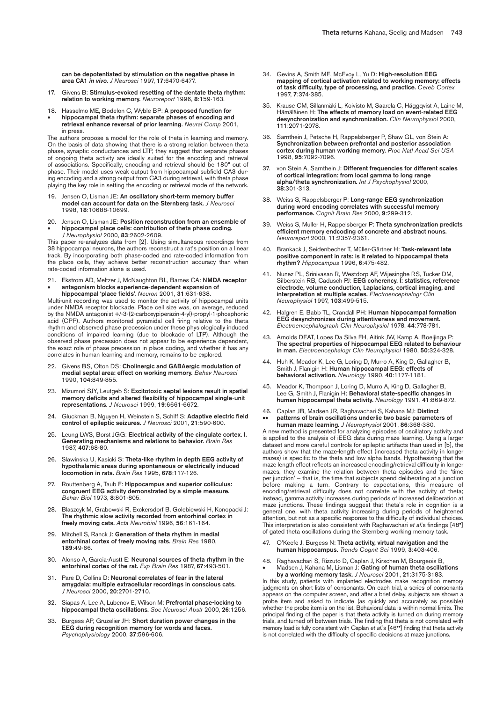- 17. Givens B: **Stimulus-evoked resetting of the dentate theta rhythm: relation to working memory.** *Neuroreport* 1996, **8**:159-163.
- 
- 18. Hasselmo ME, Bodelon C, Wyble BP: **A proposed function for hippocampal theta rhythm: separate phases of encoding and retrieval enhance reversal of prior learning.** *Neural Comp* 2001, in press.

The authors propose a model for the role of theta in learning and memory. On the basis of data showing that there is a strong relation between theta phase, synaptic conductances and LTP, they suggest that separate phases of ongoing theta activity are ideally suited for the encoding and retrieval of associations. Specifically, encoding and retrieval should be 180° out of phase. Their model uses weak output from hippocampal subfield CA3 durphase. Their meder deep weak earper from implementiple easilied one can ing encoding and a strong output from CA3 during retrieval, with theta phase playing the key role in setting the encoding or retrieval mode of the network.

- 19. Jensen O, Lisman JE: **An oscillatory short-term memory buffer model can account for data on the Sternberg task.** *J Neurosci* 1998, **18**:10688-10699.
- 20. Jensen O, Lisman JE: **Position reconstruction from an ensemble of**  • **hippocampal place cells: contribution of theta phase coding.** *J Neurophysiol* 2000, **83**:2602-2609.

This paper re-analyzes data from [2]. Using simultaneous recordings from 38 hippocampal neurons, the authors reconstruct a rat's position on a linear track. By incorporating both phase-coded and rate-coded information from the place cells, they achieve better reconstruction accuracy than when rate-coded information alone is used.

21. Ekstrom AD, Meltzer J, McNaughton BL, Barnes CA: **NMDA receptor** • **antagonism blocks experience-dependent expansion of**

**hippocampal 'place fields'.** *Neuron* 2001, **31**:631-638. Multi-unit recording was used to monitor the activity of hippocampal units under NMDA receptor blockade. Place cell size was, on average, reduced by the NMDA antagonist +/-3-(2-carboxypiperazin-4-yl)-propyl-1-phosphonic acid (CPP). Authors monitored pyramidal cell firing relative to the theta rhythm and observed phase precession under these physiologically induced conditions of impaired learning (due to blockade of LTP). Although the observed phase precession does not appear to be experience dependent, the exact role of phase precession in place coding, and whether it has any correlates in human learning and memory, remains to be explored.

- 22. Givens BS, Olton DS: **Cholinergic and GABAergic modulation of medial septal area: effect on working memory.** *Behav Neurosci* 1990, **104**:849-855.
- 23. Mizumori SJY, Leutgeb S: **Excitotoxic septal lesions result in spatial memory deficits and altered flexibility of hippocampal single-unit representations.** *J Neurosci* 1999, **19**:6661-6672.
- 24. Gluckman B, Nguyen H, Weinstein S, Schiff S: **Adaptive electric field control of epileptic seizures.** *J Neurosci* 2001, **21**:590-600.
- 25. Leung LWS, Borst JGG: **Electrical activity of the cingulate cortex. I. Generating mechanisms and relations to behavior.** *Brain Res* 1987, **407**:68-80.
- 26. Slawinska U, Kasicki S: **Theta-like rhythm in depth EEG activity of hypothalamic areas during spontaneous or electrically induced locomotion in rats.** *Brain Res* 1995, **678**:117-126.
- 27. Routtenberg A, Taub F: **Hippocampus and superior colliculus: congruent EEG activity demonstrated by a simple measure.** *Behav Biol* 1973, **8**:801-805.
- 28. Blaszcyk M, Grabowski R, Exckersdorf B, Golebiewski H, Konopacki J: **The rhythmic slow activity recorded from entorhinal cortex in freely moving cats.** *Acta Neurobiol* 1996, **56**:161-164.
- 29. Mitchell S, Ranck J: **Generation of theta rhythm in medial entorhinal cortex of freely moving rats.** *Brain Res* 1980, **189**:49-66.
- 30. Alonso A, Garcia-Austt E: **Neuronal sources of theta rhythm in the entorhinal cortex of the rat.** *Exp Brain Res* 1987, **67**:493-501.
- 31. Pare D, Collins D: **Neuronal correlates of fear in the lateral amygdala: multiple extracellular recordings in conscious cats.** *J Neurosci* 2000, **20**:2701-2710.
- 32. Siapas A, Lee A, Lubenov E, Wilson M: **Prefrontal phase-locking to hippocampal theta oscillations.** *Soc Neurosci Abstr* 2000, **26**:1256.
- 33. Burgess AP, Gruzelier JH: **Short duration power changes in the EEG during recognition memory for words and faces.** *Psychophysiology* 2000, **37**:596-606.
- 34. Gevins A, Smith ME, McEvoy L, Yu D: **High-resolution EEG mapping of cortical activation related to working memory: effects of task difficulty, type of processing, and practice.** *Cereb Cortex* 1997, **7**:374-385.
- 35. Krause CM, Sillanmäki L, Koivisto M, Saarela C, Häggqvist A, Laine M, Hämäläinen H: **The effects of memory load on event-related EEG desynchronization and synchronization.** *Clin Neurophysiol* 2000, **111**:2071-2078.
- 36. Sarnthein J, Petsche H, Rappelsberger P, Shaw GL, von Stein A: **Synchronization between prefrontal and posterior association cortex during human working memory.** *Proc Natl Acad Sci USA* 1998, **95**:7092-7096.
- 37. von Stein A, Sarnthein J: **Different frequencies for different scales of cortical integration: from local gamma to long range alpha/theta synchronization.** *Int J Psychophysiol* 2000, **38**:301-313.
- 38. Weiss S, Rappelsberger P: **Long-range EEG synchronization during word encoding correlates with successful memory performance.** *Cognit Brain Res* 2000, **9**:299-312.
- 39. Weiss S, Muller H, Rappelsberger P: **Theta synchronization predicts efficient memory endcoding of concrete and abstract nouns.** *Neuroreport* 2000, **11**:2357-2361.
- 40. Brankack J, Seidenbecher T, Müller-Gärtner H: **Task-relevant late positive component in rats: is it related to hippocampal theta rhythm?** *Hippocampus* 1996, **6**:475-482.
- 41. Nunez PL, Srinivasan R, Westdorp AF, Wijesinghe RS, Tucker DM, Silberstein RB, Cadusch PJ: **EEG coherency. I: statistics, reference electrode, volume conduction, Laplacians, cortical imaging, and interpretation at multiple scales.** *Electroencephalogr Clin Neurophysiol* 1997, **103**:499-515.
- 42. Halgren E, Babb TL, Crandall PH: **Human hippocampal formation EEG desynchronizes during attentiveness and movement.** *Electroencephalograph Clin Neurophysiol* 1978, **44**:778-781.
- 43. Arnolds DEAT, Lopes Da Silva FH, Aitink JW, Kamp A, Boeijinga P: **The spectral properties of hippocampal EEG related to behaviour in man.** *Electroencephalogr Clin Neurophysiol* 1980, **50**:324-328.
- 44. Huh K, Meador K, Lee G, Loring D, Murro A, King D, Gallagher B, Smith J, Flanigin H: **Human hippocampal EEG: effects of behavioral activation.** *Neurology* 1990, **40**:1177-1181.
- 45. Meador K, Thompson J, Loring D, Murro A, King D, Gallagher B, Lee G, Smith J, Flanigin H: **Behavioral state-specific changes in human hippocampal theta activity.** *Neurology* 1991, **41**:869-872.
- 46. Caplan JB, Madsen JR, Raghavachari S, Kahana MJ: **Distinct**  •• **patterns of brain oscillations underlie two basic parameters of human maze learning.** *J Neurophysiol* 2001, **86**:368-380.

A new method is presented for analyzing episodes of oscillatory activity and is applied to the analysis of iEEG data during maze learning. Using a larger dataset and more careful controls for epileptic artifacts than used in [5], the authors show that the maze-length effect (increased theta activity in longer mazes) is specific to the theta and low alpha bands. Hypothesizing that the maze length effect reflects an increased encoding/retrieval difficulty in longer mazes, they examine the relation between theta episodes and the 'time per junction' – that is, the time that subjects spend deliberating at a junction before making a turn. Contrary to expectations, this measure of encoding/retrieval difficulty does not correlate with the activity of theta; instead, gamma activity increases during periods of increased deliberation at maze junctions. These findings suggest that theta's role in cognition is a general one, with theta activity increasing during periods of heightened attention, but not as a specific response to the difficulty of individual choices. This interpretation is also consistent with Raghavachari *et al*.'s findings [48•] of gated theta oscillations during the Sternberg working memory task.

- 47. O'Keefe J, Burgess N: **Theta activity, virtual navigation and the human hippocampus.** *Trends Cognit Sci* 1999, **3**:403-406.
- 48. Raghavachari S, Rizzuto D, Caplan J, Kirschen M, Bourgeois B, • Madsen J, Kahana M, Lisman J: **Gating of human theta oscillations by a working memory task.** *J Neurosci* 2001, **21**:3175-3183.

In this study, patients with implanted electrodes make recognition memory judgments on short lists of consonants. On each trial, a series of consonants appears on the computer screen, and after a brief delay, subjects are shown a probe item and asked to indicate (as quickly and accurately as possible) whether the probe item is on the list. Behavioral data is within normal limits. The principal finding of the paper is that theta activity is turned on during memory trials, and turned off between trials. The finding that theta is not correlated with memory load is fully consistent with Caplan *et al.*'s [46<sup>•</sup>] finding that theta activity is not correlated with the difficulty of specific decisions at maze junctions.